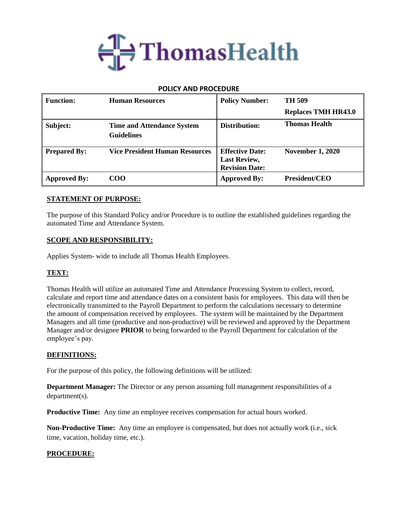

### **POLICY AND PROCEDURE**

| <b>Function:</b>    | <b>Human Resources</b>                                 | <b>Policy Number:</b>                                                  | TH 509                     |
|---------------------|--------------------------------------------------------|------------------------------------------------------------------------|----------------------------|
|                     |                                                        |                                                                        | <b>Replaces TMH HR43.0</b> |
| Subject:            | <b>Time and Attendance System</b><br><b>Guidelines</b> | Distribution:                                                          | <b>Thomas Health</b>       |
| <b>Prepared By:</b> | <b>Vice President Human Resources</b>                  | <b>Effective Date:</b><br><b>Last Review,</b><br><b>Revision Date:</b> | <b>November 1, 2020</b>    |
| <b>Approved By:</b> | COO                                                    | <b>Approved By:</b>                                                    | <b>President/CEO</b>       |

### **STATEMENT OF PURPOSE:**

The purpose of this Standard Policy and/or Procedure is to outline the established guidelines regarding the automated Time and Attendance System.

### **SCOPE AND RESPONSIBILITY:**

Applies System- wide to include all Thomas Health Employees.

## **TEXT:**

Thomas Health will utilize an automated Time and Attendance Processing System to collect, record, calculate and report time and attendance dates on a consistent basis for employees. This data will then be electronically transmitted to the Payroll Department to perform the calculations necessary to determine the amount of compensation received by employees. The system will be maintained by the Department Managers and all time (productive and non-productive) will be reviewed and approved by the Department Manager and/or designee **PRIOR** to being forwarded to the Payroll Department for calculation of the employee's pay.

### **DEFINITIONS:**

For the purpose of this policy, the following definitions will be utilized:

**Department Manager:** The Director or any person assuming full management responsibilities of a department(s).

**Productive Time:** Any time an employee receives compensation for actual hours worked.

**Non-Productive Time:** Any time an employee is compensated, but does not actually work (i.e., sick time, vacation, holiday time, etc.).

### **PROCEDURE:**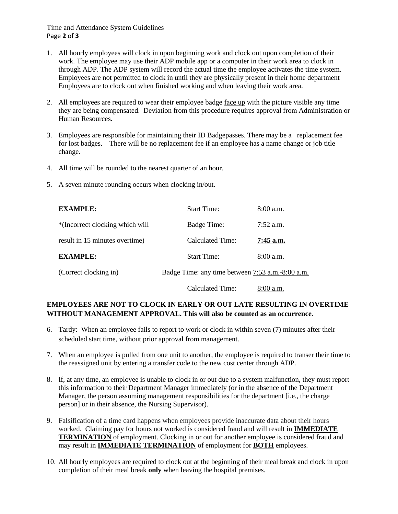Time and Attendance System Guidelines Page **2** of **3**

- 1. All hourly employees will clock in upon beginning work and clock out upon completion of their work. The employee may use their ADP mobile app or a computer in their work area to clock in through ADP. The ADP system will record the actual time the employee activates the time system. Employees are not permitted to clock in until they are physically present in their home department Employees are to clock out when finished working and when leaving their work area.
- 2. All employees are required to wear their employee badge face up with the picture visible any time they are being compensated. Deviation from this procedure requires approval from Administration or Human Resources.
- 3. Employees are responsible for maintaining their ID Badgepasses. There may be a replacement fee for lost badges. There will be no replacement fee if an employee has a name change or job title change.
- 4. All time will be rounded to the nearest quarter of an hour.
- 5. A seven minute rounding occurs when clocking in/out.

| <b>EXAMPLE:</b>                 | <b>Start Time:</b>                               | $8:00$ a.m. |
|---------------------------------|--------------------------------------------------|-------------|
| *(Incorrect clocking which will | Badge Time:                                      | $7:52$ a.m. |
| result in 15 minutes overtime)  | Calculated Time:                                 | $7:45$ a.m. |
| <b>EXAMPLE:</b>                 | <b>Start Time:</b>                               | $8:00$ a.m. |
| (Correct clocking in)           | Badge Time: any time between 7:53 a.m.-8:00 a.m. |             |
|                                 | <b>Calculated Time:</b>                          | $8:00$ a.m. |

# **EMPLOYEES ARE NOT TO CLOCK IN EARLY OR OUT LATE RESULTING IN OVERTIME WITHOUT MANAGEMENT APPROVAL. This will also be counted as an occurrence.**

- 6. Tardy: When an employee fails to report to work or clock in within seven (7) minutes after their scheduled start time, without prior approval from management.
- 7. When an employee is pulled from one unit to another, the employee is required to transer their time to the reassigned unit by entering a transfer code to the new cost center through ADP.
- 8. If, at any time, an employee is unable to clock in or out due to a system malfunction, they must report this information to their Department Manager immediately (or in the absence of the Department Manager, the person assuming management responsibilities for the department [i.e., the charge person] or in their absence, the Nursing Supervisor).
- 9. Falsification of a time card happens when employees provide inaccurate data about their hours worked. Claiming pay for hours not worked is considered fraud and will result in **IMMEDIATE TERMINATION** of employment. Clocking in or out for another employee is considered fraud and may result in **IMMEDIATE TERMINATION** of employment for **BOTH** employees.
- 10. All hourly employees are required to clock out at the beginning of their meal break and clock in upon completion of their meal break **only** when leaving the hospital premises.